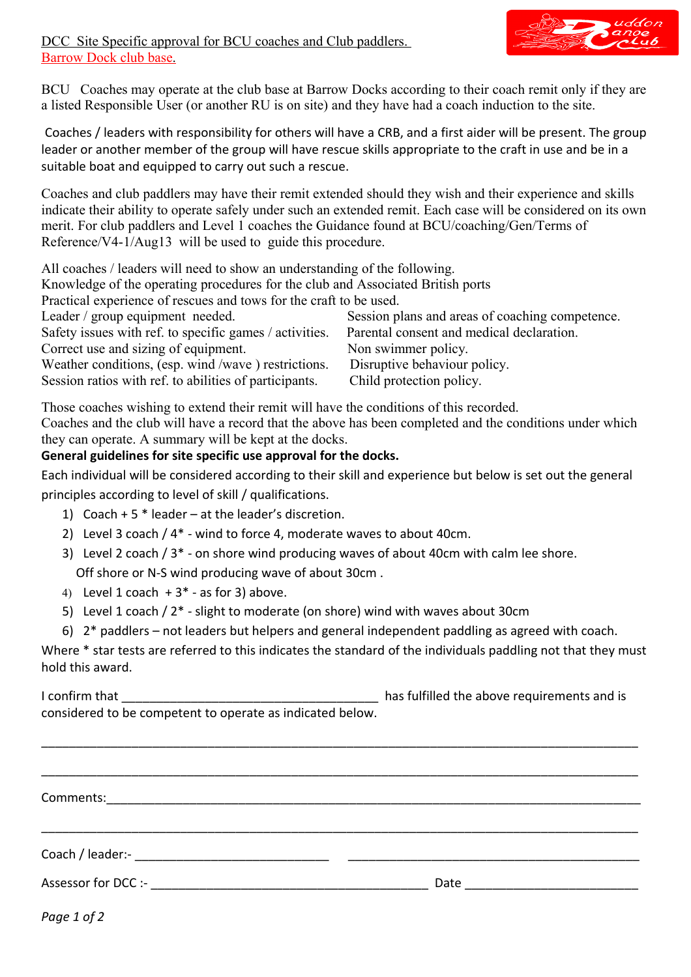

DCC Site Specific approval for BCU coaches and Club paddlers. Barrow Dock club base.

BCU Coaches may operate at the club base at Barrow Docks according to their coach remit only if they are a listed Responsible User (or another RU is on site) and they have had a coach induction to the site.

Coaches / leaders with responsibility for others will have a CRB, and a first aider will be present. The group leader or another member of the group will have rescue skills appropriate to the craft in use and be in a suitable boat and equipped to carry out such a rescue.

Coaches and club paddlers may have their remit extended should they wish and their experience and skills indicate their ability to operate safely under such an extended remit. Each case will be considered on its own merit. For club paddlers and Level 1 coaches the Guidance found at BCU/coaching/Gen/Terms of Reference/V4-1/Aug13 will be used to guide this procedure.

All coaches / leaders will need to show an understanding of the following.

Knowledge of the operating procedures for the club and Associated British ports

Practical experience of rescues and tows for the craft to be used.

Leader / group equipment needed. Session plans and areas of coaching competence.

Safety issues with ref. to specific games / activities. Parental consent and medical declaration. Correct use and sizing of equipment. Non swimmer policy.

Weather conditions, (esp. wind /wave ) restrictions. Disruptive behaviour policy. Session ratios with ref. to abilities of participants. Child protection policy.

Those coaches wishing to extend their remit will have the conditions of this recorded.

Coaches and the club will have a record that the above has been completed and the conditions under which they can operate. A summary will be kept at the docks.

## **General guidelines for site specific use approval for the docks.**

Each individual will be considered according to their skill and experience but below is set out the general principles according to level of skill / qualifications.

- 1) Coach + 5  $*$  leader at the leader's discretion.
- 2) Level 3 coach / 4\* wind to force 4, moderate waves to about 40cm.
- 3) Level 2 coach / 3\* on shore wind producing waves of about 40cm with calm lee shore. Off shore or N-S wind producing wave of about 30cm .
- 4) Level 1 coach  $+3$ <sup>\*</sup> as for 3) above.
- 5) Level 1 coach / 2\* slight to moderate (on shore) wind with waves about 30cm
- 6) 2\* paddlers not leaders but helpers and general independent paddling as agreed with coach.

Where \* star tests are referred to this indicates the standard of the individuals paddling not that they must hold this award.

| I confirm that                                            | has fulfilled the above requirements and is |
|-----------------------------------------------------------|---------------------------------------------|
| considered to be competent to operate as indicated below. |                                             |

\_\_\_\_\_\_\_\_\_\_\_\_\_\_\_\_\_\_\_\_\_\_\_\_\_\_\_\_\_\_\_\_\_\_\_\_\_\_\_\_\_\_\_\_\_\_\_\_\_\_\_\_\_\_\_\_\_\_\_\_\_\_\_\_\_\_\_\_\_\_\_\_\_\_\_\_\_\_\_\_\_\_\_\_\_\_

| Comments: |                                                                                                                                                                                                                                |
|-----------|--------------------------------------------------------------------------------------------------------------------------------------------------------------------------------------------------------------------------------|
|           |                                                                                                                                                                                                                                |
|           |                                                                                                                                                                                                                                |
|           | Date and the contract of the contract of the contract of the contract of the contract of the contract of the contract of the contract of the contract of the contract of the contract of the contract of the contract of the c |

*Page 1 of 2*